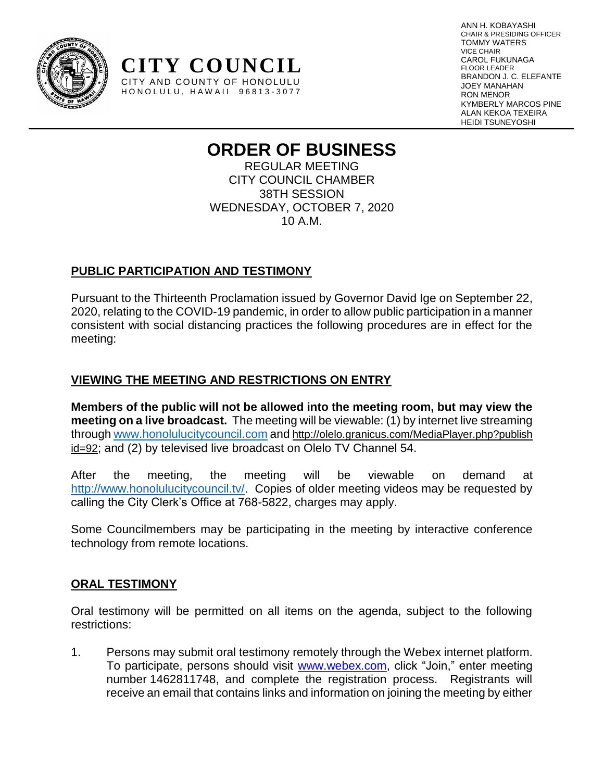

ANN H. KOBAYASHI CHAIR & PRESIDING OFFICER TOMMY WATERS VICE CHAIR CAROL FUKUNAGA FLOOR LEADER BRANDON J. C. ELEFANTE JOEY MANAHAN RON MENOR KYMBERLY MARCOS PINE ALAN KEKOA TEXEIRA HEIDI TSUNEYOSHI

# **ORDER OF BUSINESS**

REGULAR MEETING CITY COUNCIL CHAMBER 38TH SESSION WEDNESDAY, OCTOBER 7, 2020 10 A.M.

# **PUBLIC PARTICIPATION AND TESTIMONY**

**CITY COUNCIL** CITY AND COUNTY OF HONOLULU HONOLULU, HAWAII 96813-3077

Pursuant to the Thirteenth Proclamation issued by Governor David Ige on September 22, 2020, relating to the COVID-19 pandemic, in order to allow public participation in a manner consistent with social distancing practices the following procedures are in effect for the meeting:

# **VIEWING THE MEETING AND RESTRICTIONS ON ENTRY**

**Members of the public will not be allowed into the meeting room, but may view the meeting on a live broadcast.** The meeting will be viewable: (1) by internet live streaming through [www.honolulucitycouncil.com](http://www.honolulucitycouncil.com/) and [http://olelo.granicus.com/MediaPlayer.php?publish](http://olelo.granicus.com/MediaPlayer.php?publish%20id=92)  [id=92](http://olelo.granicus.com/MediaPlayer.php?publish%20id=92); and (2) by televised live broadcast on Olelo TV Channel 54.

After the meeting, the meeting will be viewable on demand at http://www.honolulucitycouncil.ty/. Copies of older meeting videos may be requested by calling the City Clerk's Office at 768-5822, charges may apply.

Some Councilmembers may be participating in the meeting by interactive conference technology from remote locations.

# **ORAL TESTIMONY**

Oral testimony will be permitted on all items on the agenda, subject to the following restrictions:

1. Persons may submit oral testimony remotely through the Webex internet platform. To participate, persons should visit [www.webex.com,](http://www.webex.com/) click "Join," enter meeting number 1462811748, and complete the registration process. Registrants will receive an email that contains links and information on joining the meeting by either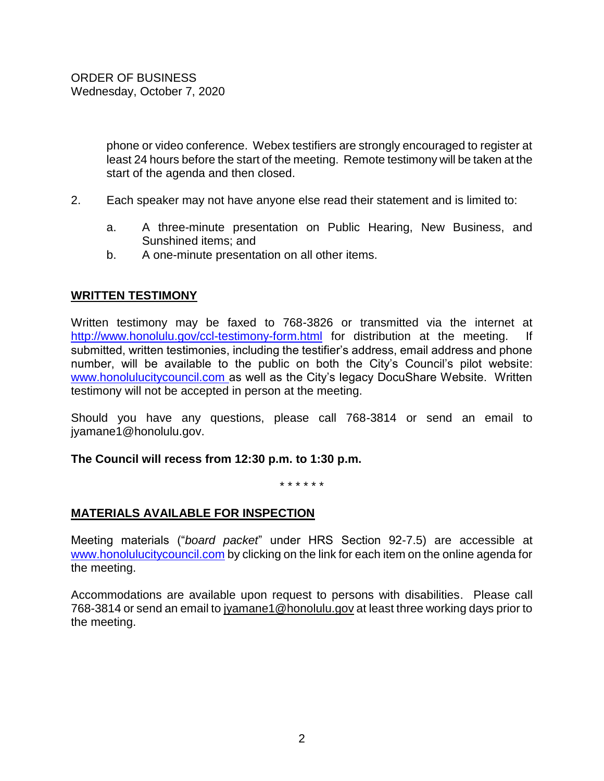phone or video conference. Webex testifiers are strongly encouraged to register at least 24 hours before the start of the meeting. Remote testimony will be taken at the start of the agenda and then closed.

- 2. Each speaker may not have anyone else read their statement and is limited to:
	- a. A three-minute presentation on Public Hearing, New Business, and Sunshined items; and
	- b. A one-minute presentation on all other items.

### **WRITTEN TESTIMONY**

Written testimony may be faxed to 768-3826 or transmitted via the internet at <http://www.honolulu.gov/ccl-testimony-form.html> for distribution at the meeting. If submitted, written testimonies, including the testifier's address, email address and phone number, will be available to the public on both the City's Council's pilot website: [www.honolulucitycouncil.com](http://www.honolulucitycouncil.com/) as well as the City's legacy DocuShare Website. Written testimony will not be accepted in person at the meeting.

Should you have any questions, please call 768-3814 or send an email to jyamane1@honolulu.gov.

#### **The Council will recess from 12:30 p.m. to 1:30 p.m.**

\* \* \* \* \* \*

#### **MATERIALS AVAILABLE FOR INSPECTION**

Meeting materials ("*board packet*" under HRS Section 92-7.5) are accessible at [www.honolulucitycouncil.com](http://www.honolulucitycouncil.com/) by clicking on the link for each item on the online agenda for the meeting.

Accommodations are available upon request to persons with disabilities. Please call 768-3814 or send an email t[o jyamane1@honolulu.gov](mailto:jyamane1@honolulu.gov) at least three working days prior to the meeting.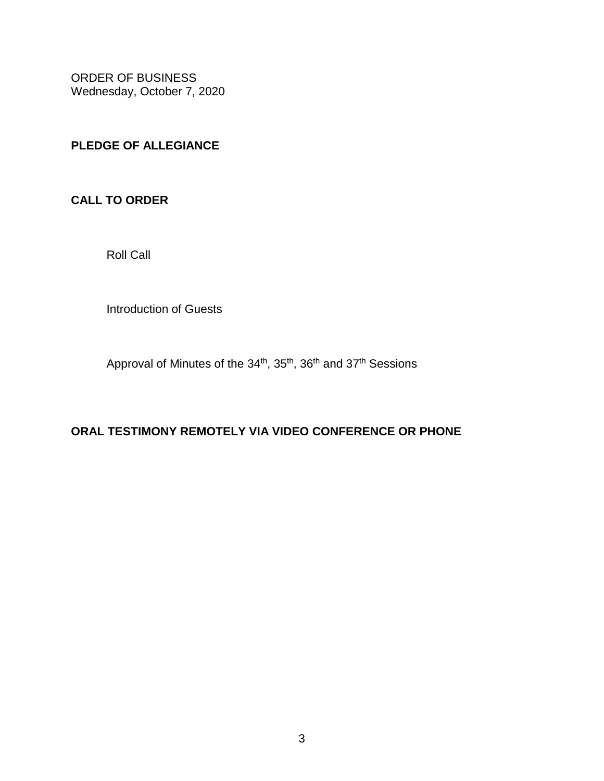# **PLEDGE OF ALLEGIANCE**

**CALL TO ORDER**

Roll Call

Introduction of Guests

Approval of Minutes of the 34<sup>th</sup>, 35<sup>th</sup>, 36<sup>th</sup> and 37<sup>th</sup> Sessions

# **ORAL TESTIMONY REMOTELY VIA VIDEO CONFERENCE OR PHONE**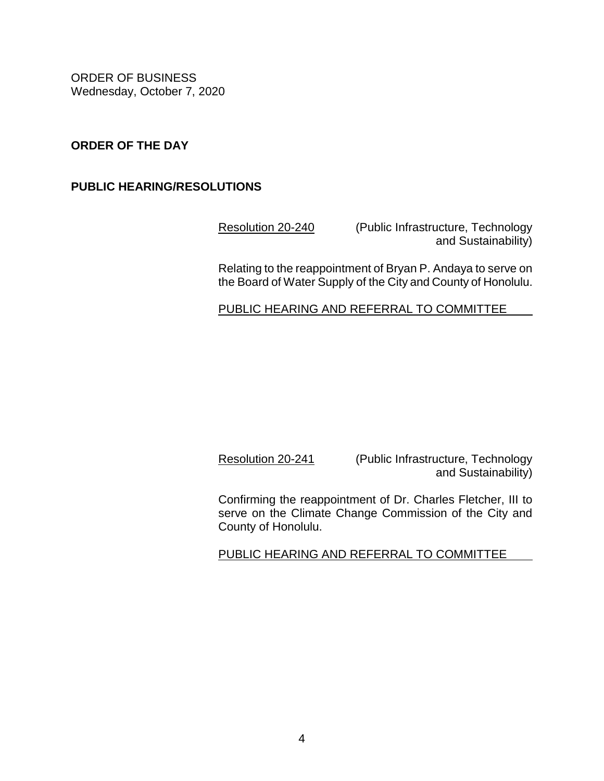### **ORDER OF THE DAY**

### **PUBLIC HEARING/RESOLUTIONS**

[Resolution 20-240](https://hnldoc.ehawaii.gov/hnldoc/document-download?id=7807) (Public Infrastructure, Technology and Sustainability)

Relating to the reappointment of Bryan P. Andaya to serve on the Board of Water Supply of the City and County of Honolulu.

PUBLIC HEARING AND REFERRAL TO COMMITTEE

[Resolution 20-241](https://hnldoc.ehawaii.gov/hnldoc/document-download?id=7808) (Public Infrastructure, Technology and Sustainability)

Confirming the reappointment of Dr. Charles Fletcher, III to serve on the Climate Change Commission of the City and County of Honolulu.

PUBLIC HEARING AND REFERRAL TO COMMITTEE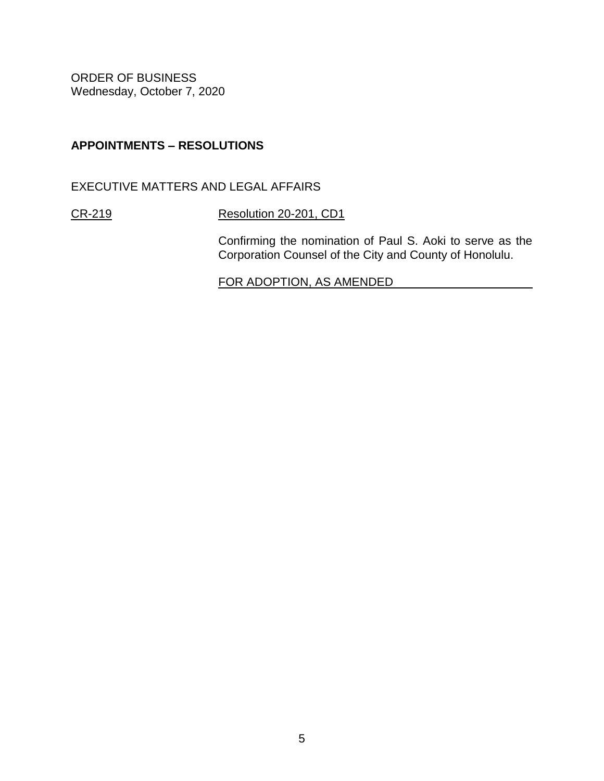# **APPOINTMENTS – RESOLUTIONS**

EXECUTIVE MATTERS AND LEGAL AFFAIRS

[CR-219](http://www4.honolulu.gov/docushare/dsweb/Get/Document-249444/CR-219(20).pdf) [Resolution 20-201, CD1](https://hnldoc.ehawaii.gov/hnldoc/document-download?id=7871)

Confirming the nomination of Paul S. Aoki to serve as the Corporation Counsel of the City and County of Honolulu.

FOR ADOPTION, AS AMENDED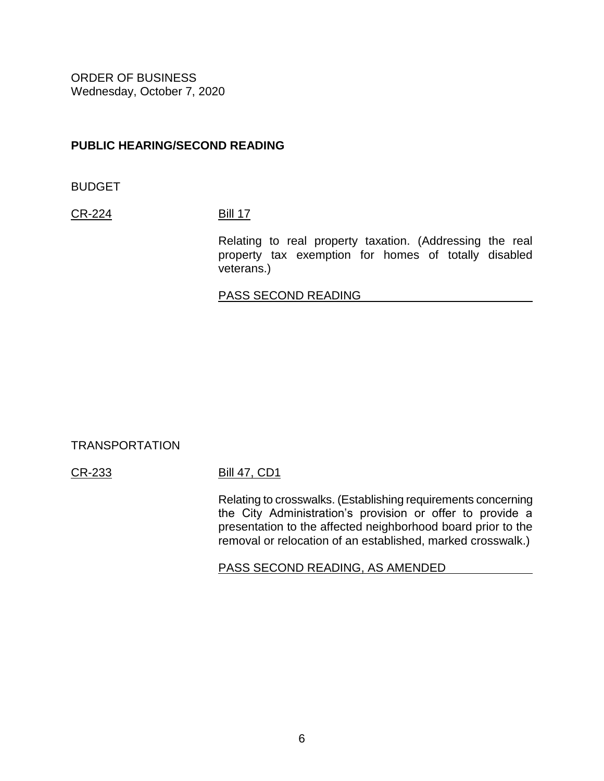### **PUBLIC HEARING/SECOND READING**

BUDGET

[CR-224](https://hnldoc.ehawaii.gov/hnldoc/document-download?id=7850) [Bill 17](https://hnldoc.ehawaii.gov/hnldoc/document-download?id=5781)

Relating to real property taxation. (Addressing the real property tax exemption for homes of totally disabled veterans.)

#### PASS SECOND READING

#### TRANSPORTATION

#### [CR-233](https://hnldoc.ehawaii.gov/hnldoc/document-download?id=7859) [Bill 47, CD1](https://hnldoc.ehawaii.gov/hnldoc/document-download?id=7894)

Relating to crosswalks. (Establishing requirements concerning the City Administration's provision or offer to provide a presentation to the affected neighborhood board prior to the removal or relocation of an established, marked crosswalk.)

PASS SECOND READING, AS AMENDED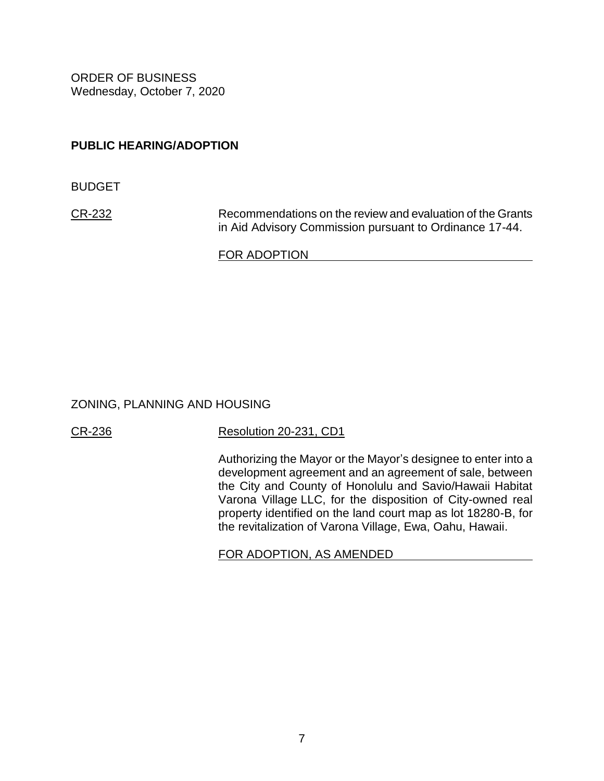### **PUBLIC HEARING/ADOPTION**

BUDGET

[CR-232](https://hnldoc.ehawaii.gov/hnldoc/document-download?id=7858) Recommendations on the review and evaluation of the Grants in Aid Advisory Commission pursuant to Ordinance 17-44.

FOR ADOPTION

#### ZONING, PLANNING AND HOUSING

[CR-236](https://hnldoc.ehawaii.gov/hnldoc/document-download?id=7862) [Resolution 20-231, CD1](https://hnldoc.ehawaii.gov/hnldoc/document-download?id=7947)

Authorizing the Mayor or the Mayor's designee to enter into a development agreement and an agreement of sale, between the City and County of Honolulu and Savio/Hawaii Habitat Varona Village LLC, for the disposition of City-owned real property identified on the land court map as lot 18280-B, for the revitalization of Varona Village, Ewa, Oahu, Hawaii.

FOR ADOPTION, AS AMENDED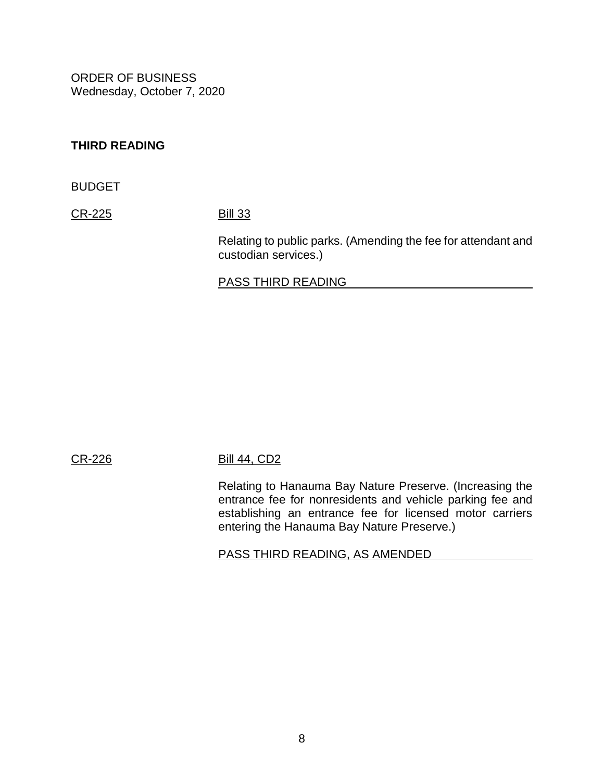### **THIRD READING**

BUDGET

[CR-225](https://hnldoc.ehawaii.gov/hnldoc/document-download?id=7851) [Bill 33](https://hnldoc.ehawaii.gov/hnldoc/document-download?id=5882)

Relating to public parks. (Amending the fee for attendant and custodian services.)

#### PASS THIRD READING

#### [CR-226](https://hnldoc.ehawaii.gov/hnldoc/document-download?id=7852) [Bill 44, CD2](https://hnldoc.ehawaii.gov/hnldoc/document-download?id=7867)

Relating to Hanauma Bay Nature Preserve. (Increasing the entrance fee for nonresidents and vehicle parking fee and establishing an entrance fee for licensed motor carriers entering the Hanauma Bay Nature Preserve.)

PASS THIRD READING, AS AMENDED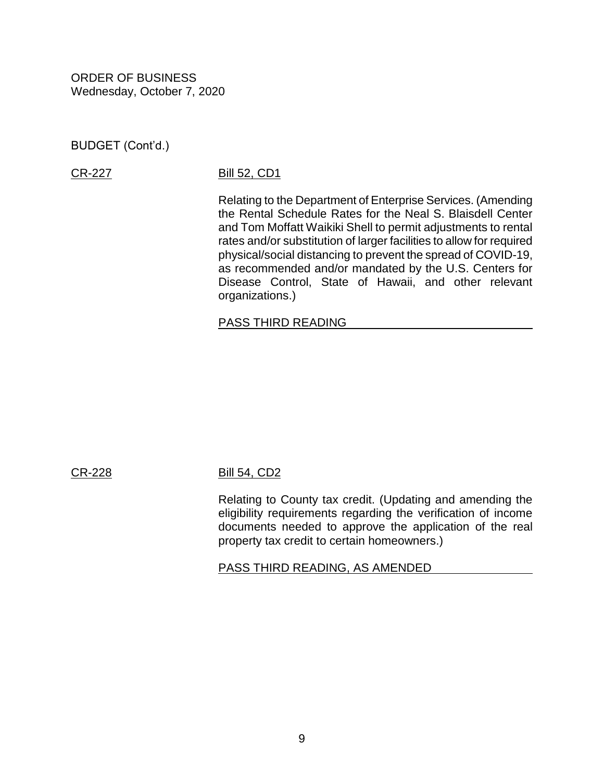BUDGET (Cont'd.)

#### [CR-227](https://hnldoc.ehawaii.gov/hnldoc/document-download?id=7853) [Bill 52, CD1](https://hnldoc.ehawaii.gov/hnldoc/document-download?id=7255)

Relating to the Department of Enterprise Services. (Amending the Rental Schedule Rates for the Neal S. Blaisdell Center and Tom Moffatt Waikiki Shell to permit adjustments to rental rates and/or substitution of larger facilities to allow for required physical/social distancing to prevent the spread of COVID-19, as recommended and/or mandated by the U.S. Centers for Disease Control, State of Hawaii, and other relevant organizations.)

#### PASS THIRD READING

#### [CR-228](https://hnldoc.ehawaii.gov/hnldoc/document-download?id=7854) [Bill 54, CD2](https://hnldoc.ehawaii.gov/hnldoc/document-download?id=7868)

Relating to County tax credit. (Updating and amending the eligibility requirements regarding the verification of income documents needed to approve the application of the real property tax credit to certain homeowners.)

PASS THIRD READING, AS AMENDED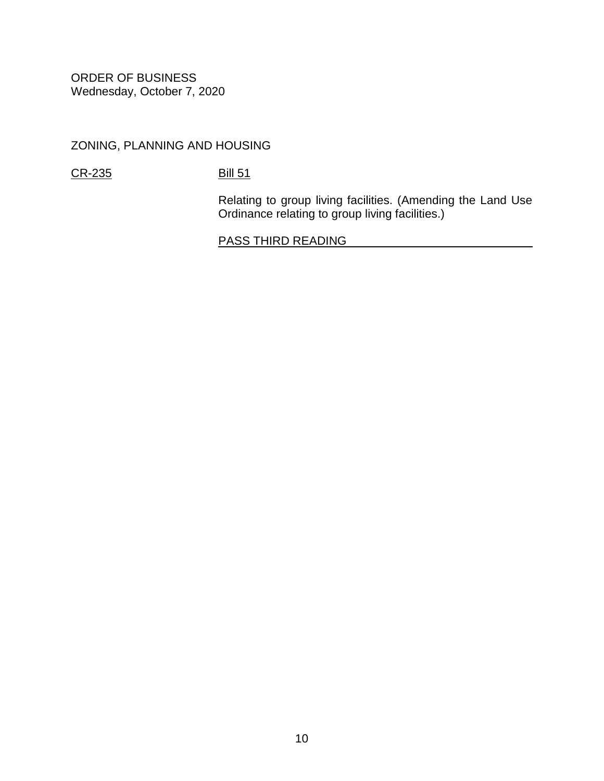ZONING, PLANNING AND HOUSING

[CR-235](https://hnldoc.ehawaii.gov/hnldoc/document-download?id=7861) [Bill 51](https://hnldoc.ehawaii.gov/hnldoc/document-download?id=7062)

Relating to group living facilities. (Amending the Land Use Ordinance relating to group living facilities.)

PASS THIRD READING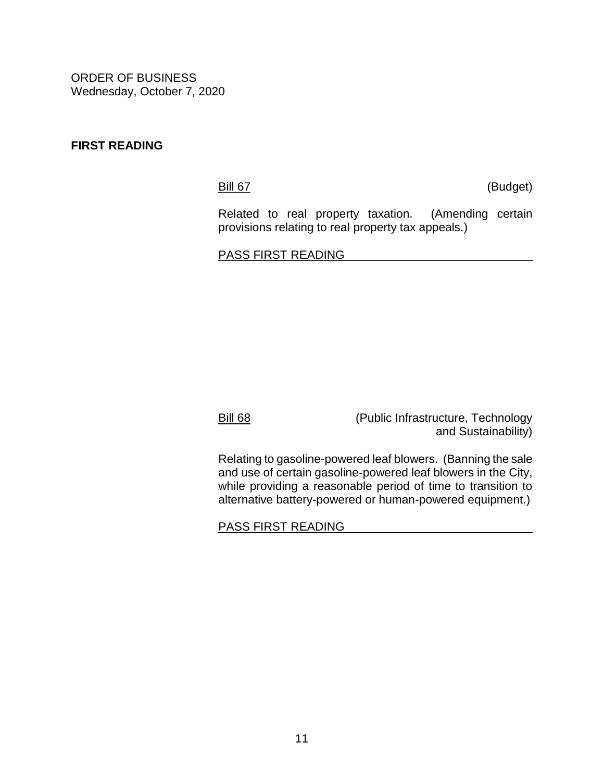#### **FIRST READING**

[Bill 67](https://hnldoc.ehawaii.gov/hnldoc/document-download?id=7762) (Budget)

Related to real property taxation. (Amending certain provisions relating to real property tax appeals.)

PASS FIRST READING

[Bill 68](https://hnldoc.ehawaii.gov/hnldoc/document-download?id=7926) (Public Infrastructure, Technology and Sustainability)

Relating to gasoline-powered leaf blowers. (Banning the sale and use of certain gasoline-powered leaf blowers in the City, while providing a reasonable period of time to transition to alternative battery-powered or human-powered equipment.)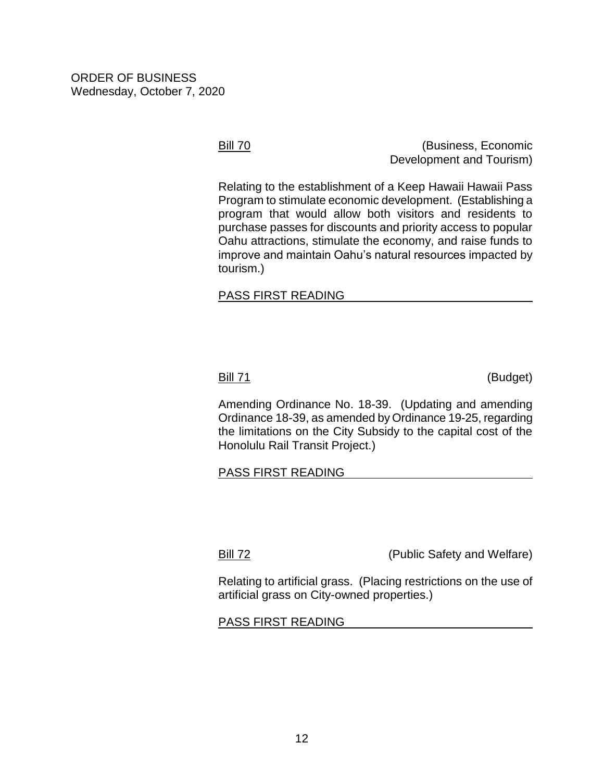[Bill 70](https://hnldoc.ehawaii.gov/hnldoc/document-download?id=7958) (Business, Economic Development and Tourism)

Relating to the establishment of a Keep Hawaii Hawaii Pass Program to stimulate economic development. (Establishing a program that would allow both visitors and residents to purchase passes for discounts and priority access to popular Oahu attractions, stimulate the economy, and raise funds to improve and maintain Oahu's natural resources impacted by tourism.)

### PASS FIRST READING

[Bill 71](https://hnldoc.ehawaii.gov/hnldoc/document-download?id=7966) (Budget)

Amending Ordinance No. 18-39. (Updating and amending Ordinance 18-39, as amended by Ordinance 19-25, regarding the limitations on the City Subsidy to the capital cost of the Honolulu Rail Transit Project.)

#### PASS FIRST READING

[Bill 72](https://hnldoc.ehawaii.gov/hnldoc/document-download?id=7975) (Public Safety and Welfare)

Relating to artificial grass. (Placing restrictions on the use of artificial grass on City-owned properties.)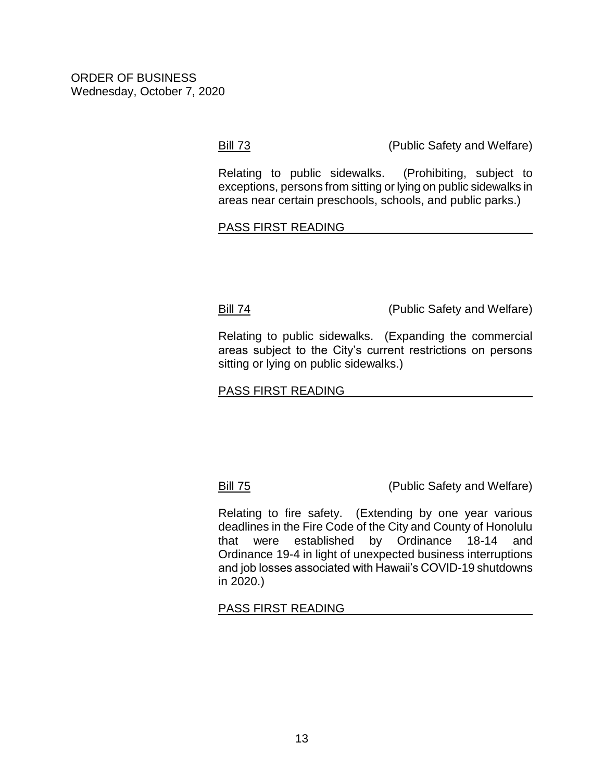[Bill 73](https://hnldoc.ehawaii.gov/hnldoc/document-download?id=7980) (Public Safety and Welfare)

Relating to public sidewalks. (Prohibiting, subject to exceptions, persons from sitting or lying on public sidewalks in areas near certain preschools, schools, and public parks.)

#### PASS FIRST READING

[Bill 74](https://hnldoc.ehawaii.gov/hnldoc/document-download?id=7981) (Public Safety and Welfare)

Relating to public sidewalks. (Expanding the commercial areas subject to the City's current restrictions on persons sitting or lying on public sidewalks.)

#### PASS FIRST READING

[Bill](https://hnldoc.ehawaii.gov/hnldoc/document-download?id=7995) 75 (Public Safety and Welfare)

Relating to fire safety. (Extending by one year various deadlines in the Fire Code of the City and County of Honolulu that were established by Ordinance 18-14 and Ordinance 19-4 in light of unexpected business interruptions and job losses associated with Hawaii's COVID-19 shutdowns in 2020.)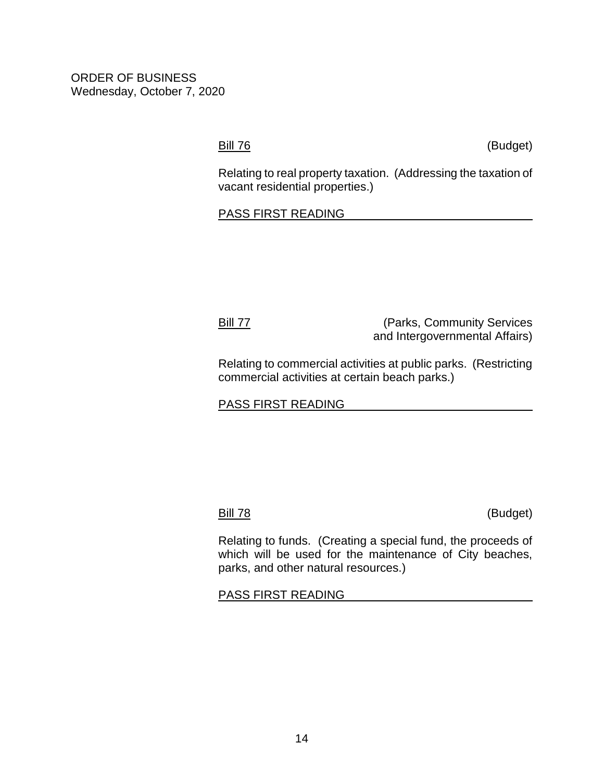[Bill](https://hnldoc.ehawaii.gov/hnldoc/document-download?id=7996) 76 (Budget)

Relating to real property taxation. (Addressing the taxation of vacant residential properties.)

#### PASS FIRST READING

[Bill](https://hnldoc.ehawaii.gov/hnldoc/document-download?id=7997) 77 (Parks, Community Services and Intergovernmental Affairs)

Relating to commercial activities at public parks. (Restricting commercial activities at certain beach parks.)

PASS FIRST READING

[Bill](https://hnldoc.ehawaii.gov/hnldoc/document-download?id=7998) 78 (Budget)

Relating to funds. (Creating a special fund, the proceeds of which will be used for the maintenance of City beaches, parks, and other natural resources.)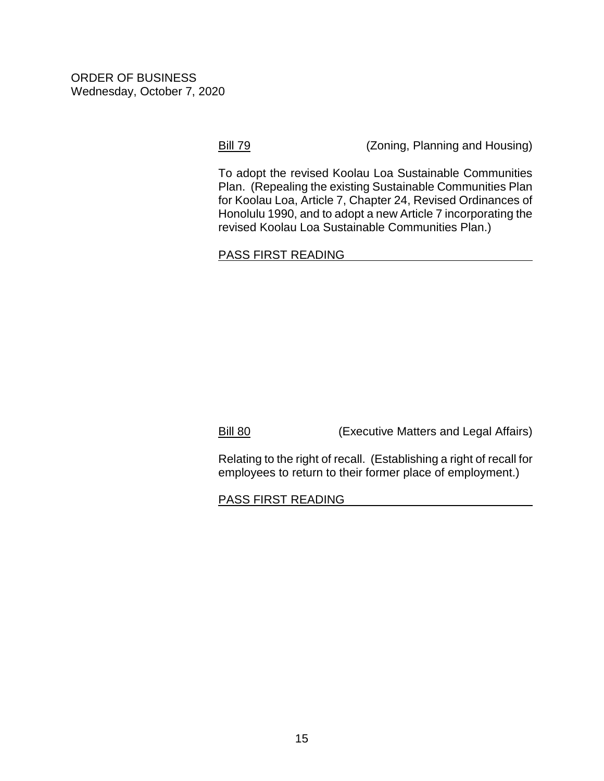[Bill 79](https://hnldoc.ehawaii.gov/hnldoc/document-download?id=8000) (Zoning, Planning and Housing)

To adopt the revised Koolau Loa Sustainable Communities Plan. (Repealing the existing Sustainable Communities Plan for Koolau Loa, Article 7, Chapter 24, Revised Ordinances of Honolulu 1990, and to adopt a new Article 7 incorporating the revised Koolau Loa Sustainable Communities Plan.)

#### PASS FIRST READING

[Bill 80](https://hnldoc.ehawaii.gov/hnldoc/document-download?id=8003) (Executive Matters and Legal Affairs)

Relating to the right of recall. (Establishing a right of recall for employees to return to their former place of employment.)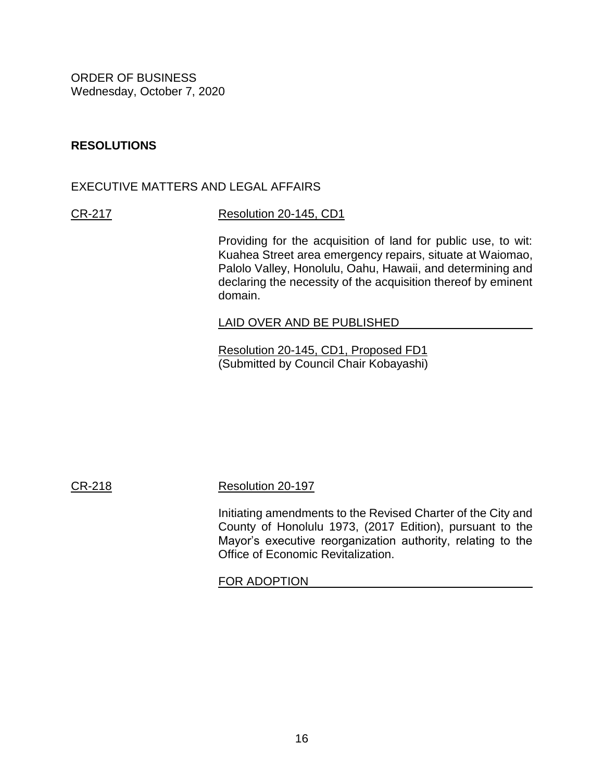### **RESOLUTIONS**

#### EXECUTIVE MATTERS AND LEGAL AFFAIRS

### [CR-217](https://hnldoc.ehawaii.gov/hnldoc/document-download?id=7570) [Resolution 20-145, CD1](https://hnldoc.ehawaii.gov/hnldoc/document-download?id=7869)

Providing for the acquisition of land for public use, to wit: Kuahea Street area emergency repairs, situate at Waiomao, Palolo Valley, Honolulu, Oahu, Hawaii, and determining and declaring the necessity of the acquisition thereof by eminent domain.

#### LAID OVER AND BE PUBLISHED

[Resolution 20-145, CD1, Proposed FD1](https://hnldoc.ehawaii.gov/hnldoc/document-download?id=7992) (Submitted by Council Chair Kobayashi)

[CR-218](https://hnldoc.ehawaii.gov/hnldoc/document-download?id=7571) [Resolution 20-197](https://hnldoc.ehawaii.gov/hnldoc/document-download?id=7396)

Initiating amendments to the Revised Charter of the City and County of Honolulu 1973, (2017 Edition), pursuant to the Mayor's executive reorganization authority, relating to the Office of Economic Revitalization.

#### FOR ADOPTION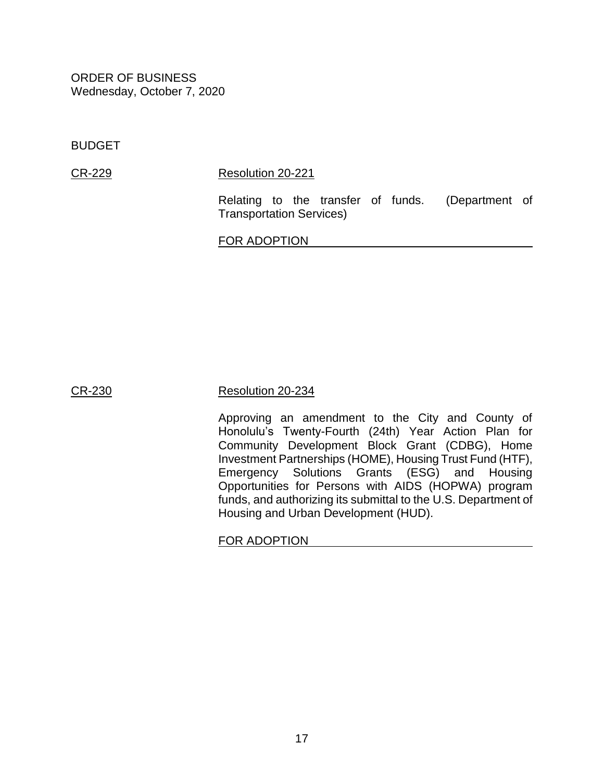BUDGET

[CR-229](https://hnldoc.ehawaii.gov/hnldoc/document-download?id=7855) [Resolution 20-221](https://hnldoc.ehawaii.gov/hnldoc/document-download?id=7613)

Relating to the transfer of funds. (Department of Transportation Services)

FOR ADOPTION

#### [CR-230](https://hnldoc.ehawaii.gov/hnldoc/document-download?id=7856) [Resolution 20-234](https://hnldoc.ehawaii.gov/hnldoc/document-download?id=7739)

Approving an amendment to the City and County of Honolulu's Twenty-Fourth (24th) Year Action Plan for Community Development Block Grant (CDBG), Home Investment Partnerships (HOME), Housing Trust Fund (HTF), Emergency Solutions Grants (ESG) and Housing Opportunities for Persons with AIDS (HOPWA) program funds, and authorizing its submittal to the U.S. Department of Housing and Urban Development (HUD).

FOR ADOPTION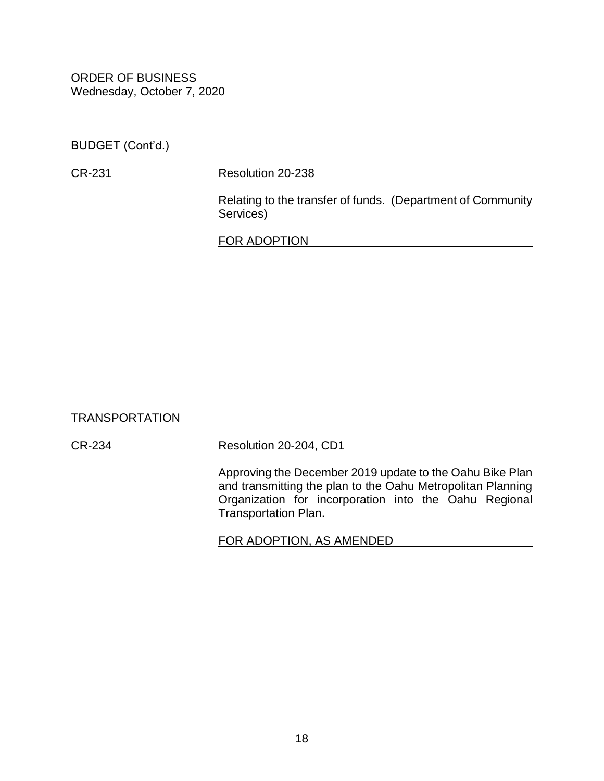BUDGET (Cont'd.)

[CR-231](https://hnldoc.ehawaii.gov/hnldoc/document-download?id=7857) [Resolution 20-238](https://hnldoc.ehawaii.gov/hnldoc/document-download?id=7760)

Relating to the transfer of funds. (Department of Community Services)

FOR ADOPTION

TRANSPORTATION

[CR-234](https://hnldoc.ehawaii.gov/hnldoc/document-download?id=7860) [Resolution 20-204, CD1](https://hnldoc.ehawaii.gov/hnldoc/document-download?id=7895)

Approving the December 2019 update to the Oahu Bike Plan and transmitting the plan to the Oahu Metropolitan Planning Organization for incorporation into the Oahu Regional Transportation Plan.

FOR ADOPTION, AS AMENDED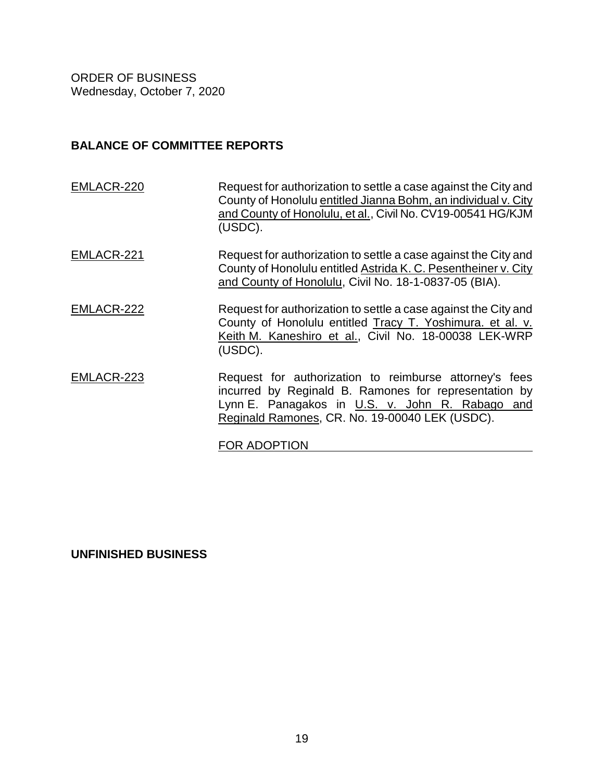#### **BALANCE OF COMMITTEE REPORTS**

[EMLACR-220](https://hnldoc.ehawaii.gov/hnldoc/document-download?id=7573) Request for authorization to settle a case against the City and County of Honolulu entitled Jianna Bohm, an individual v. City and County of Honolulu, et al., Civil No. CV19-00541 HG/KJM (USDC). [EMLACR-221](https://hnldoc.ehawaii.gov/hnldoc/document-download?id=7847) Request for authorization to settle a case against the City and County of Honolulu entitled Astrida K. C. Pesentheiner v. City and County of Honolulu, Civil No. 18-1-0837-05 (BIA). [EMLACR-222](https://hnldoc.ehawaii.gov/hnldoc/document-download?id=7848) Request for authorization to settle a case against the City and County of Honolulu entitled Tracy T. Yoshimura. et al. v. Keith M. Kaneshiro et al., Civil No. 18-00038 LEK-WRP (USDC). [EMLACR-223](https://hnldoc.ehawaii.gov/hnldoc/document-download?id=7849) Request for authorization to reimburse attorney's fees incurred by Reginald B. Ramones for representation by Lynn E. Panagakos in U.S. v. John R. Rabago and Reginald Ramones, CR. No. 19-00040 LEK (USDC).

FOR ADOPTION

**UNFINISHED BUSINESS**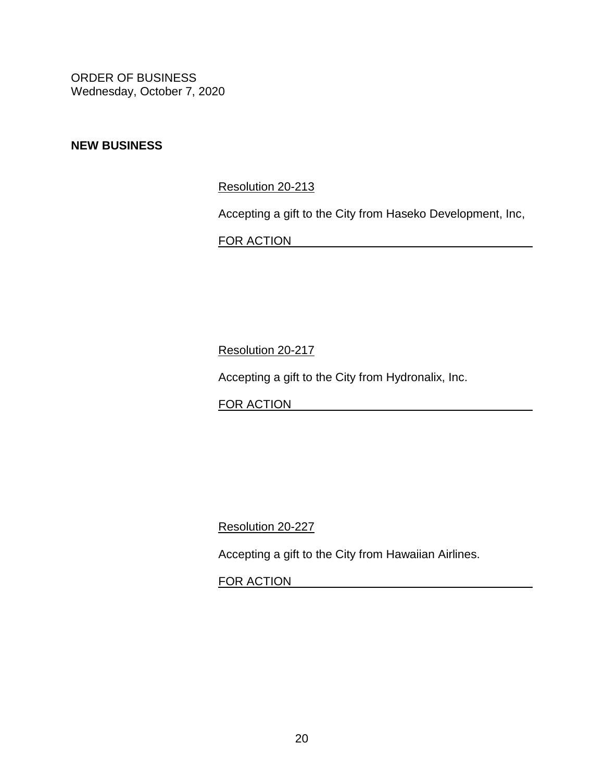### **NEW BUSINESS**

[Resolution 20-213](https://hnldoc.ehawaii.gov/hnldoc/document-download?id=7485)

Accepting a gift to the City from Haseko Development, Inc,

FOR ACTION

[Resolution 20-217](https://hnldoc.ehawaii.gov/hnldoc/document-download?id=7555)

Accepting a gift to the City from Hydronalix, Inc.

FOR ACTION

[Resolution 20-227](https://hnldoc.ehawaii.gov/hnldoc/document-download?id=7674)

Accepting a gift to the City from Hawaiian Airlines.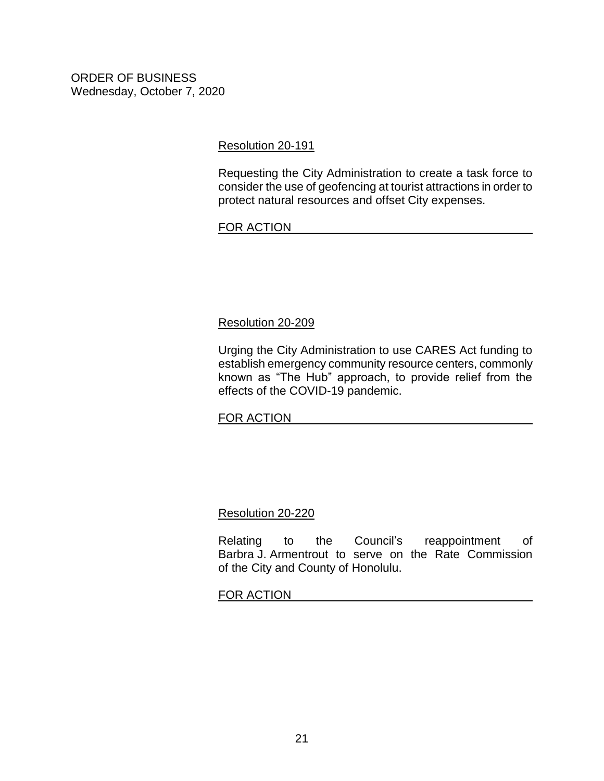[Resolution 20-191](https://hnldoc.ehawaii.gov/hnldoc/document-download?id=7365)

Requesting the City Administration to create a task force to consider the use of geofencing at tourist attractions in order to protect natural resources and offset City expenses.

#### FOR ACTION

#### [Resolution 20-209](https://hnldoc.ehawaii.gov/hnldoc/document-download?id=7441)

Urging the City Administration to use CARES Act funding to establish emergency community resource centers, commonly known as "The Hub" approach, to provide relief from the effects of the COVID-19 pandemic.

#### FOR ACTION

#### [Resolution 20-220](https://hnldoc.ehawaii.gov/hnldoc/document-download?id=7612)

Relating to the Council's reappointment of Barbra J. Armentrout to serve on the Rate Commission of the City and County of Honolulu.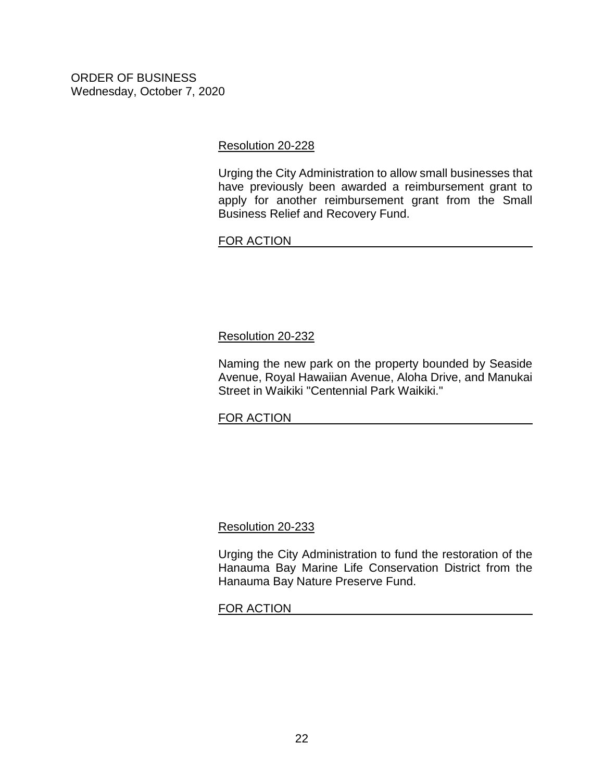[Resolution 20-228](https://hnldoc.ehawaii.gov/hnldoc/document-download?id=7685)

Urging the City Administration to allow small businesses that have previously been awarded a reimbursement grant to apply for another reimbursement grant from the Small Business Relief and Recovery Fund.

FOR ACTION

### [Resolution 20-232](https://hnldoc.ehawaii.gov/hnldoc/document-download?id=7734)

Naming the new park on the property bounded by Seaside Avenue, Royal Hawaiian Avenue, Aloha Drive, and Manukai Street in Waikiki "Centennial Park Waikiki."

#### FOR ACTION

#### [Resolution 20-233](https://hnldoc.ehawaii.gov/hnldoc/document-download?id=7735)

Urging the City Administration to fund the restoration of the Hanauma Bay Marine Life Conservation District from the Hanauma Bay Nature Preserve Fund.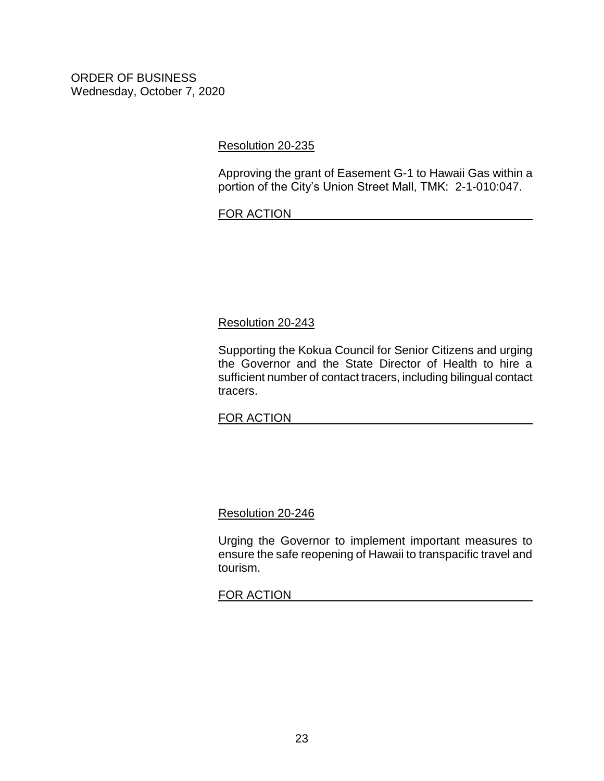#### [Resolution 20-235](https://hnldoc.ehawaii.gov/hnldoc/document-download?id=7741)

Approving the grant of Easement G-1 to Hawaii Gas within a portion of the City's Union Street Mall, TMK: 2-1-010:047.

#### FOR ACTION

#### [Resolution 20-243](https://hnldoc.ehawaii.gov/hnldoc/document-download?id=7872)

Supporting the Kokua Council for Senior Citizens and urging the Governor and the State Director of Health to hire a sufficient number of contact tracers, including bilingual contact tracers.

#### FOR ACTION

#### [Resolution 20-246](https://hnldoc.ehawaii.gov/hnldoc/document-download?id=7931)

Urging the Governor to implement important measures to ensure the safe reopening of Hawaii to transpacific travel and tourism.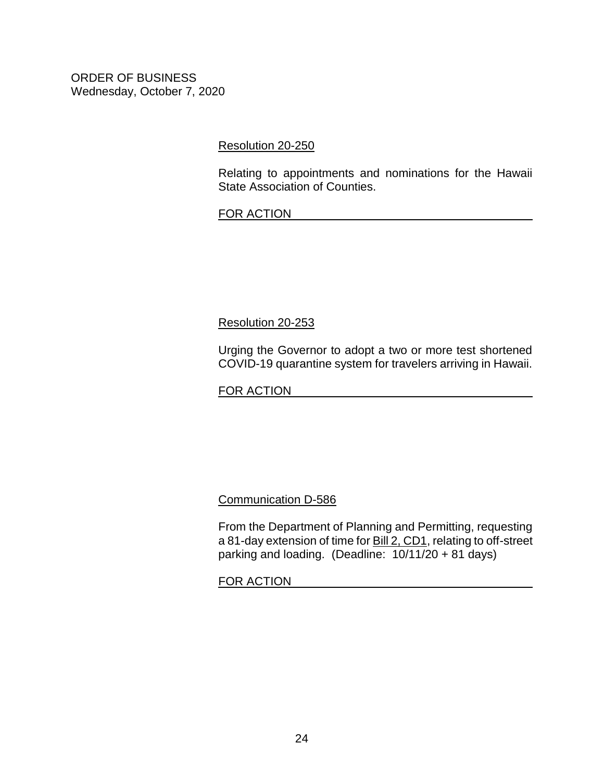[Resolution 20-250](https://hnldoc.ehawaii.gov/hnldoc/document-download?id=7976)

Relating to appointments and nominations for the Hawaii State Association of Counties.

#### FOR ACTION

[Resolution 20-253](https://hnldoc.ehawaii.gov/hnldoc/document-download?id=8004)

Urging the Governor to adopt a two or more test shortened COVID-19 quarantine system for travelers arriving in Hawaii.

FOR ACTION

[Communication D-586](https://hnldoc.ehawaii.gov/hnldoc/document-download?id=7631)

From the Department of Planning and Permitting, requesting a 81-day extension of time for [Bill 2, CD1,](https://hnldoc.ehawaii.gov/hnldoc/document-download?id=7544) relating to off-street parking and loading. (Deadline: 10/11/20 + 81 days)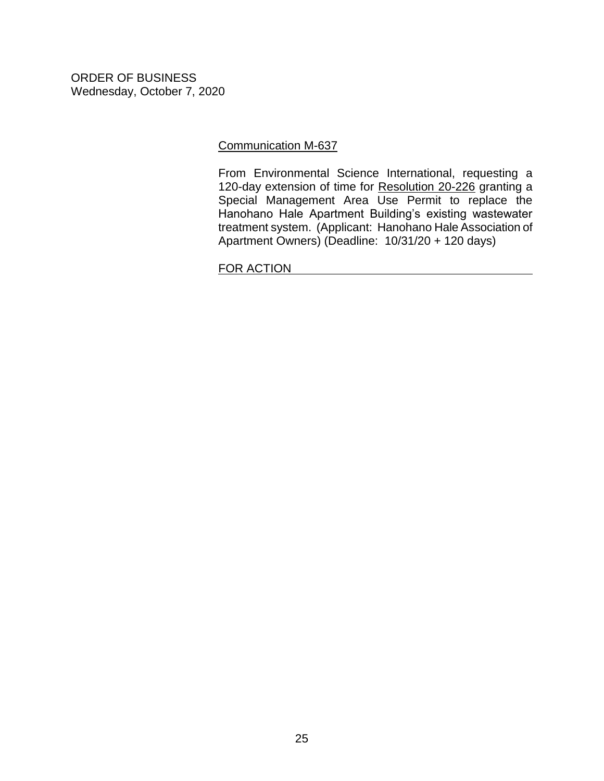#### [Communication M-637](https://hnldoc.ehawaii.gov/hnldoc/document-download?id=7963)

From Environmental Science International, requesting a 120-day extension of time for [Resolution 20-226](https://hnldoc.ehawaii.gov/hnldoc/document-download?id=7669) granting a Special Management Area Use Permit to replace the Hanohano Hale Apartment Building's existing wastewater treatment system. (Applicant: Hanohano Hale Association of Apartment Owners) (Deadline: 10/31/20 + 120 days)